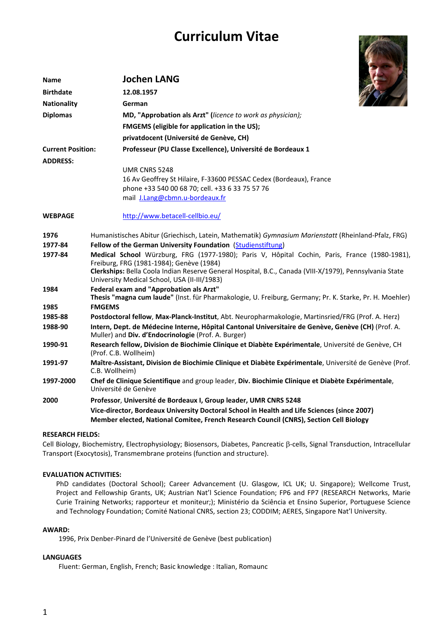# **Curriculum Vitae**



| Name                     | <b>Jochen LANG</b>                                                                                                                                                                    |
|--------------------------|---------------------------------------------------------------------------------------------------------------------------------------------------------------------------------------|
| <b>Birthdate</b>         | 12.08.1957                                                                                                                                                                            |
| <b>Nationality</b>       | German                                                                                                                                                                                |
| <b>Diplomas</b>          | MD, "Approbation als Arzt" (licence to work as physician);                                                                                                                            |
|                          | FMGEMS (eligible for application in the US);                                                                                                                                          |
|                          | privatdocent (Université de Genève, CH)                                                                                                                                               |
| <b>Current Position:</b> | Professeur (PU Classe Excellence), Université de Bordeaux 1                                                                                                                           |
| <b>ADDRESS:</b>          |                                                                                                                                                                                       |
|                          | UMR CNRS 5248                                                                                                                                                                         |
|                          | 16 Av Geoffrey St Hilaire, F-33600 PESSAC Cedex (Bordeaux), France                                                                                                                    |
|                          | phone +33 540 00 68 70; cell. +33 6 33 75 57 76                                                                                                                                       |
|                          | mail J.Lang@cbmn.u-bordeaux.fr                                                                                                                                                        |
| <b>WEBPAGE</b>           | http://www.betacell-cellbio.eu/                                                                                                                                                       |
| 1976                     | Humanistisches Abitur (Griechisch, Latein, Mathematik) Gymnasium Marienstatt (Rheinland-Pfalz, FRG)                                                                                   |
| 1977-84                  | Fellow of the German University Foundation (Studienstiftung)                                                                                                                          |
| 1977-84                  | Medical School Würzburg, FRG (1977-1980); Paris V, Hôpital Cochin, Paris, France (1980-1981)<br>Freiburg, FRG (1981-1984); Genève (1984)                                              |
|                          | Clerkships: Bella Coola Indian Reserve General Hospital, B.C., Canada (VIII-X/1979), Pennsylvania State<br>University Medical School, USA (II-III/1983)                               |
| 1984                     | Federal exam and "Approbation als Arzt"<br>Thesis "magna cum laude" (Inst. für Pharmakologie, U. Freiburg, Germany; Pr. K. Starke, Pr. H. Moehler)                                    |
| 1985                     | <b>FMGEMS</b>                                                                                                                                                                         |
| 1985-88                  | Postdoctoral fellow, Max-Planck-Institut, Abt. Neuropharmakologie, Martinsried/FRG (Prof. A. Herz)                                                                                    |
| 1988-90                  | Intern, Dept. de Médecine Interne, Hôpital Cantonal Universitaire de Genève, Genève (CH) (Prof. A.<br>Muller) and Div. d'Endocrinologie (Prof. A. Burger)                             |
| 1990-91                  | Research fellow, Division de Biochimie Clinique et Diabète Expérimentale, Université de Genève, CH<br>(Prof. C.B. Wollheim)                                                           |
| 1991-97                  | Maître-Assistant, Division de Biochimie Clinique et Diabète Expérimentale, Université de Genève (Prof.<br>C.B. Wollheim)                                                              |
| 1997-2000                | Chef de Clinique Scientifique and group leader, Div. Biochimie Clinique et Diabète Expérimentale,<br>Université de Genève                                                             |
| 2000                     | Professor, Université de Bordeaux I, Group leader, UMR CNRS 5248                                                                                                                      |
|                          | Vice-director, Bordeaux University Doctoral School in Health and Life Sciences (since 2007)<br>Member elected, National Comitee, French Research Council (CNRS), Section Cell Biology |

#### **RESEARCH FIELDS:**

Cell Biology, Biochemistry, Electrophysiology; Biosensors, Diabetes, Pancreatic β-cells, Signal Transduction, Intracellular Transport (Exocytosis), Transmembrane proteins (function and structure).

#### **EVALUATION ACTIVITIES:**

PhD candidates (Doctoral School); Career Advancement (U. Glasgow, ICL UK; U. Singapore); Wellcome Trust, Project and Fellowship Grants, UK; Austrian Nat'l Science Foundation; FP6 and FP7 (RESEARCH Networks, Marie Curie Training Networks; rapporteur et moniteur;); Ministério da Sciência et Ensino Superior, Portuguese Science and Technology Foundation; Comité National CNRS, section 23; CODDIM; AERES, Singapore Nat'l University.

#### **AWARD:**

1996, Prix Denber‐Pinard de l'Université de Genève (best publication)

#### **LANGUAGES**

Fluent: German, English, French; Basic knowledge : Italian, Romaunc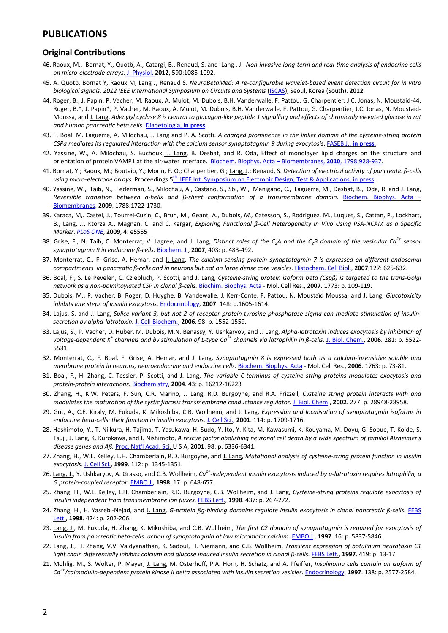### **PUBLICATIONS**

### **Original Contributions**

- 46. Raoux, M., Bornat, Y., Quotb, A., Catargi, B., Renaud, S. and Lang, J. Non-invasive long-term and real-time analysis of endocrine cells *on micro‐electrode arrays.* J. Physiol. **2012**, 590:1085‐1092.
- 45. A. Quotb, Bornat Y, Raoux M, Lang J, Renaud S. NeuroBetaMed: A re-configurable wavelet-based event detection circuit for in vitro *biological signals. 2012 IEEE International Symposium on Circuits and Systems* (ISCAS), Seoul, Korea (South). **2012**.
- 44. Roger, B., J. Papin, P. Vacher, M. Raoux, A. Mulot, M. Dubois, B.H. Vanderwalle, F. Pattou, G. Charpentier, J.C. Jonas, N. Moustaid‐44. Roger, B.\*, J. Papin\*, P. Vacher, M. Raoux, A. Mulot, M. Dubois, B.H. Vanderwalle, F. Pattou, G. Charpentier, J.C. Jonas, N. Moustaid‐ Moussa, and J. Lang, Adenylyl cyclase 8 is central to glucagon-like peptide 1 signalling and effects of chronically elevated glucose in rat *and human pancreatic beta cells.* Diabetologia, **in press**.
- 43. F. Boal, M. Laguerre, A. Milochau, J. Lang and P. A. Scotti. A charged prominence in the linker domain of the cysteine-string protein *CSPa mediates its regulated interaction with the calcium sensor synaptotagmin 9 during exocytosis*. FASEB J., **in press**.
- 42. Yassine, W., A. Milochau, S. Buchoux, J. Lang, B. Desbat, and R. Oda, Effect of monolayer lipid charges on the structure and orientation of protein VAMP1 at the air‐water interface. Biochem. Biophys. Acta – Biomembranes, **2010**, 1798:928‐937.
- 41. Bornat, Y.; Raoux, M.; Boutaib, Y.; Morin, F. O.; Charpentier, G.; Lang, J.; Renaud, S. *Detection of electrical activity of pancreatic ß‐cells using micro‐electrode arrays.* Proceedings 5th IEEE Int. Symposium on Electronic Design, Test & Applications, in press.
- 40. Yassine, W., Taib, N., Federman, S., Milochau, A., Castano, S., Sbi, W., Manigand, C., Laguerre, M., Desbat, B., Oda, R. and J. Lang, *Reversible transition between a‐helix and ß‐sheet conformation of a transmembrane domain.* Biochem. Biophys. Acta – Biomembranes, **2009**, 1788:1722‐1730.
- 39. Karaca, M,. Castel, J., Tourrel‐Cuzin, C., Brun, M., Geant, A., Dubois, *M.,* Catesson, S., Rodriguez, M., Luquet, S., Cattan, P., Lockhart, B., Lang, J., Ktorza A., Magnan, C. and C. Kargar, Exploring Functional ß-Cell Heterogeneity In Vivo Using PSA-NCAM as a Specific *Marker*. *PLoS ONE*, **2009**, 4: e5555
- 38. Grise, F., N. Taib, C. Monterrat, V. Lagrée, and J. Lang, Distinct roles of the C<sub>2</sub>A and the C<sub>2</sub>B domain of the vesicular Ca<sup>2+</sup> sensor *synaptotagmin 9 in endocrine ß‐cells.* Biochem. J., **2007**, 403: p. 483‐492.
- 37. Monterrat, C., F. Grise, A. Hémar, and J. Lang, *The calcium‐sensing protein synaptotagmin 7 is expressed on different endosomal* compartments in pancreatic β-cells and in neurons but not on large dense core vesicles. Histochem. Cell Biol., 2007,127: 625-632.
- 36. Boal, F., S. Le Pevelen, C. Cziepluch, P. Scotti, and J. Lang, Cysteine-string protein isoform beta (Cspß) is targeted to the trans-Golgi *network as a non‐palmitoylated CSP in clonal ß‐cells.* Biochim. Biophys. Acta ‐ Mol. Cell Res., **2007**. 1773: p. 109‐119.
- 35. Dubois, M., P. Vacher, B. Roger, D. Huyghe, B. Vandewalle, J. Kerr‐Conte, F. Pattou, N. Moustaïd Moussa, and J. Lang, *Glucotoxicity inhibits late steps of insulin exocytosis.* Endocrinology, **2007**. 148: p.1605‐1614.
- 34. Lajus, S. and J. Lang, Splice variant 3, but not 2 of receptor protein-tyrosine phosphatase sigma can mediate stimulation of insulin*secretion by alpha‐latrotoxin.* J. Cell Biochem., **2006**. 98: p. 1552‐1559.
- 33. Lajus, S., P. Vacher, D. Huber, M. Dubois, M.N. Benassy, Y. Ushkaryov, and J. Lang, *Alpha‐latrotoxin induces exocytosis by inhibition of* voltage-dependent K<sup>\*</sup> channels and by stimulation of L-type Ca<sup>2+</sup> channels via latrophilin in  $\beta$ -cells. J. Biol. Chem., 2006. 281: p. 5522-5531.
- 32. Monterrat, C., F. Boal, F. Grise, A. Hemar, and J. Lang, *Synaptotagmin 8 is expressed both as a calcium‐insensitive soluble and membrane protein in neurons, neuroendocrine and endocrine cells.* Biochem. Biophys. Acta ‐ Mol. Cell Res., **2006**. 1763: p. 73‐81.
- 31. Boal, F., H. Zhang, C. Tessier, P. Scotti, and J. Lang, *The variable C‐terminus of cysteine string proteins modulates exocytosis and protein‐protein interactions.* Biochemistry, **2004**. 43: p. 16212‐16223
- 30. Zhang, H., K.W. Peters, F. Sun, C.R. Marino, J. Lang, R.D. Burgoyne, and R.A. Frizzell, *Cysteine string protein interacts with and modulates the maturation of the cystic fibrosis transmembrane conductance regulator.* J. Biol. Chem., **2002**. 277: p. 28948‐28958.
- 29. Gut, A., C.E. Kiraly, M. Fukuda, K. Mikoshiba, C.B. Wollheim, and J. Lang, *Expression and localisation of synaptotagmin isoforms in endocrine beta‐cells: their function in insulin exocytosis.* J. Cell Sci., **2001**. 114: p. 1709‐1716.
- 28. Hashimoto, Y., T. Niikura, H. Tajima, T. Yasukawa, H. Sudo, Y. Ito, Y. Kita, M. Kawasumi, K. Kouyama, M. Doyu, G. Sobue, T. Koide, S. Tsuji, J. Lang, K. Kurokawa, and I. Nishimoto, A rescue factor abolishing neuronal cell death by a wide spectrum of familial Alzheimer's *disease genes and Aß.* Proc. Nat'l Acad. Sci. U S A, **2001**. 98: p. 6336‐6341.
- 27. Zhang, H., W.L. Kelley, L.H. Chamberlain, R.D. Burgoyne, and J. Lang, *Mutational analysis of cysteine‐string protein function in insulin exocytosis.* J. Cell Sci., **1999**. 112: p. 1345‐1351.
- 26. Lang, J., Y. Ushkaryov, A. Grasso, and C.B. Wollheim, Ca<sup>2+</sup>-independent insulin exocytosis induced by a-latrotoxin requires latrophilin, a *G protein‐coupled receptor.* EMBO J., **1998**. 17: p. 648‐657.
- 25. Zhang, H., W.L. Kelley, L.H. Chamberlain, R.D. Burgoyne, C.B. Wollheim, and J. Lang, *Cysteine‐string proteins regulate exocytosis of insulin independent from transmembrane ion fluxes.* FEBS Lett., **1998**. 437: p. 267‐272.
- 24. Zhang, H., H. Yasrebi-Nejad, and J. Lang, G-protein ßg-binding domains regulate insulin exocytosis in clonal pancreatic ß-cells. FEBS Lett., **1998**. 424: p. 202‐206.
- 23. Lang, J., M. Fukuda, H. Zhang, K. Mikoshiba, and C.B. Wollheim, *The first C2 domain of synaptotagmin is required for exocytosis of insulin from pancreatic beta‐cells: action of synaptotagmin at low micromolar calcium.* EMBO J., **1997**. 16: p. 5837‐5846.
- 22. Lang, J., H. Zhang, V.V. Vaidyanathan, K. Sadoul, H. Niemann, and C.B. Wollheim, *Transient expression of botulinum neurotoxin C1* light chain differentially inhibits calcium and glucose induced insulin secretion in clonal ß-cells. FEBS Lett., 1997. 419: p. 13-17.
- 21. Mohlig, M., S. Wolter, P. Mayer, J. Lang, M. Osterhoff, P.A. Horn, H. Schatz, and A. Pfeiffer, *Insulinoma cells contain an isoform of Ca2+/calmodulin‐dependent protein kinase II delta associated with insulin secretion vesicles.* Endocrinology, **1997**. 138: p. 2577‐2584.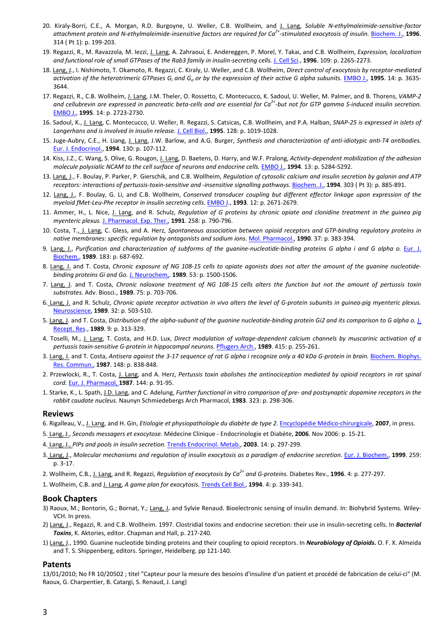- 20. Kiraly‐Borri, C.E., A. Morgan, R.D. Burgoyne, U. Weller, C.B. Wollheim, and J. Lang, *Soluble N‐ethylmaleimide‐sensitive‐factor* attachment protein and N-ethylmaleimide-insensitive factors are required for  $Ca<sup>2+</sup>$ -stimulated exocytosis of insulin. Biochem. J., 1996. 314 ( Pt 1): p. 199‐203.
- 19. Regazzi, R., M. Ravazzola, M. Iezzi, J. Lang, A. Zahraoui, E. Andereggen, P. Morel, Y. Takai, and C.B. Wollheim, *Expression, localization* and functional role of small GTPases of the Rab3 family in insulin-secreting cells. J. Cell Sci., 1996. 109: p. 2265-2273.
- 18. Lang, J., I. Nishimoto, T. Okamoto, R. Regazzi, C. Kiraly, U. Weller, and C.B. Wollheim, *Direct control of exocytosis by receptor‐mediated* activation of the heterotrimeric GTPases  $G_i$  and  $G_o$  or by the expression of their active G alpha subunits. EMBO J., 1995. 14: p. 3635-3644.
- 17. Regazzi, R., C.B. Wollheim, J. Lang, J.M. Theler, O. Rossetto, C. Montecucco, K. Sadoul, U. Weller, M. Palmer, and B. Thorens, *VAMP‐2* and cellubrevin are expressed in pancreatic beta-cells and are essential for  $Ca^{2+}$ -but not for GTP gamma S-induced insulin secretion. EMBO J., **1995**. 14: p. 2723‐2730.
- 16. Sadoul, K., J. Lang, C. Montecucco, U. Weller, R. Regazzi, S. Catsicas, C.B. Wollheim, and P.A. Halban, *SNAP‐25 is expressed in islets of Langerhans and is involved in insulin release.* J. Cell Biol., **1995**. 128: p. 1019‐1028.
- 15. Juge‐Aubry, C.E., H. Liang, J. Lang, J.W. Barlow, and A.G. Burger, *Synthesis and characterization of anti‐idiotypic anti‐T4 antibodies.* Eur. J. Endocrinol., **1994**. 130: p. 107‐112.
- 14. Kiss, J.Z., C. Wang, S. Olive, G. Rougon, J. Lang, D. Baetens, D. Harry, and W.F. Pralong, *Activity‐dependent mobilization of the adhesion molecule polysialic NCAM to the cell surface of neurons and endocrine cells.* EMBO J., **1994**. 13: p. 5284‐5292.
- 13. Lang, J., F. Boulay, P. Parker, P. Gierschik, and C.B. Wollheim, *Regulation of cytosolic calcium and insulin secretion by galanin and ATP* receptors: interactions of pertussis-toxin-sensitive and -insensitive signalling pathways. Biochem. J., 1994. 303 (Pt 3): p. 885-891.
- 12. Lang, J., F. Boulay, G. Li, and C.B. Wollheim, *Conserved transducer coupling but different effector linkage upon expression of the myeloid fMet‐Leu‐Phe receptor in insulin secreting cells.* EMBO J., **1993**. 12: p. 2671‐2679.
- 11. Ammer, H., L. Nice, J. Lang, and R. Schulz, Regulation of G proteins by chronic opiate and clonidine treatment in the guinea pig *myenteric plexus.* J. Pharmacol. Exp. Ther., **1991**. 258: p. 790‐796.
- 10. Costa, T., J. Lang, C. Gless, and A. Herz, *Spontaneous association between opioid receptors and GTP‐binding regulatory proteins in native membranes: specific regulation by antagonists and sodium ions.* Mol. Pharmacol., **1990**. 37: p. 383‐394.
- 9. Lang, J., Purification and characterization of subforms of the guanine-nucleotide-binding proteins G alpha i and G alpha o. Eur. J. Biochem., **1989**. 183: p. 687‐692.
- 8. Lang, J. and T. Costa, Chronic exposure of NG 108-15 cells to opiate agonists does not alter the amount of the guanine nucleotide*binding proteins Gi and Go.* J. Neurochem,. **1989**. 53: p. 1500‐1506.
- 7. Lang, J. and T. Costa, Chronic naloxone treatment of NG 108-15 cells alters the function but not the amount of pertussis toxin *substrates.* Adv. Biosci., **1989**. 75: p. 703‐706.
- 6. Lang, J. and R. Schulz, Chronic opiate receptor activation in vivo alters the level of G-protein subunits in guinea-pig myenteric plexus. Neuroscience, **1989**. 32: p. 503‐510.
- 5. Lang, J. and T. Costa, Distribution of the alpha-subunit of the guanine nucleotide-binding protein Gi2 and its comparison to G alpha o. J. Recept. Res., **1989**. 9: p. 313‐329.
- 4. Toselli, M., J. Lang, T. Costa, and H.D. Lux, Direct modulation of voltage-dependent calcium channels by muscarinic activation of a *pertussis toxin‐sensitive G‐protein in hippocampal neurons.* Pflugers Arch., **1989**. 415: p. 255‐261.
- 3. Lang, J. and T. Costa, Antisera against the 3-17 sequence of rat G alpha i recognize only a 40 kDa G-protein in brain. Biochem. Biophys. Res. Commun., **1987**. 148: p. 838‐848.
- 2. Przewlocki, R., T. Costa, J. Lang, and A. Herz, *Pertussis toxin abolishes the antinociception mediated by opioid receptors in rat spinal cord.* Eur. J. Pharmacol, **1987**. 144: p. 91‐95.
- 1. Starke, K., L. Spath, J.D. Lang, and C. Adelung, Further functional in vitro comparison of pre- and postsynaptic dopamine receptors in the *rabbit caudate nucleus.* Naunyn Schmiedebergs Arch Pharmacol, **1983**. 323: p. 298‐306.

#### **Reviews**

- 6. Rigalleau, V., J. Lang, and H. Gin, *Etiologie et physiopathologie du diabète de type 2.* Encyclopédie Médico‐chirurgicale, **2007**, in press.
- 5. Lang, J., *Seconds messagers et exocytose.* Médecine Clinique ‐ Endocrinologie et Diabète, **2006**. Nov 2006: p. 15‐21.
- 4. Lang, J., *PIPs and pools in insulin secretion.* Trends Endocrinol. Metab., **2003**. 14: p. 297‐299.
- 3. Lang, J., Molecular mechanisms and regulation of insulin exocytosis as a paradigm of endocrine secretion. Eur. J. Biochem., 1999. 259: p. 3‐17.
- 2. Wollheim, C.B., J. Lang, and R. Regazzi, *Regulation of exocytosis by Ca2+ and G‐proteins.* Diabetes Rev., **1996**. 4: p. 277‐297.
- 1. Wollheim, C.B. and J. Lang, *A game plan for exocytosis.* Trends Cell Biol., **1994**. 4: p. 339‐341.

#### **Book Chapters**

- 3) Raoux, M.; Bontorin, G.; Bornat, Y.; Lang, J**.** and Sylvie Renaud. Bioelectronic sensing of insulin demand. In: Biohybrid Systems. Wiley‐ VCH. In press.
- 2) Lang, J., Regazzi, R. and C.B. Wollheim. 1997. Clostridial toxins and endocrine secretion: their use in insulin‐secreting cells. In *Bacterial Toxins*, K. Aktories, editor. Chapman and Hall, p. 217‐240.
- 1) Lang, J., 1990. Guanine nucleotide binding proteins and their coupling to opioid receptors. In *Neurobiology of Opioids***.** O. F. X. Almeida and T. S. Shippenberg, editors. Springer, Heidelberg. pp 121‐140.

#### **Patents**

13/01/2010; No FR 10/20502 ; titel "Capteur pour la mesure des besoins d'insuline d'un patient et procédé de fabrication de celui‐ci" (M. Raoux, G. Charpentier, B. Catargi, S. Renaud, J. Lang)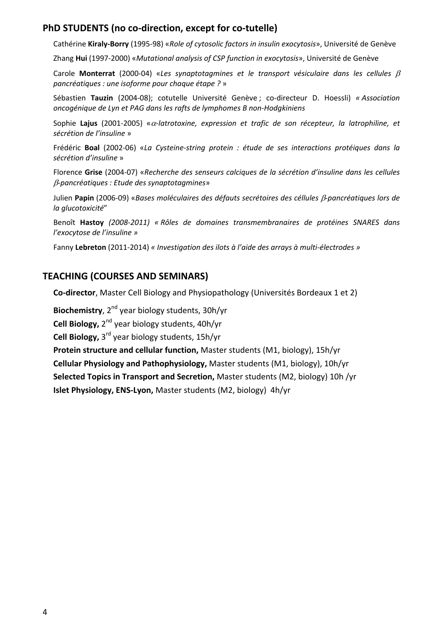# **PhD STUDENTS (no co‐direction, except for co‐tutelle)**

Cathérine **Kiraly‐Borry** (1995‐98) «*Role of cytosolic factors in insulin exocytosis*», Université de Genève

Zhang **Hui** (1997‐2000) «*Mutational analysis of CSP function in exocytosis*», Université de Genève

Carole **Monterrat** (2000‐04) «*Les synaptotagmines et le transport vésiculaire dans les cellules pancréatiques : une isoforme pour chaque étape ?* »

Sébastien **Tauzin** (2004‐08); cotutelle Université Genève ; co‐directeur D. Hoessli) *« Association oncogénique de Lyn et PAG dans les rafts de lymphomes B non‐Hodgkiniens* 

Sophie **Lajus** (2001‐2005) «*‐latrotoxine, expression et trafic de son récepteur, la latrophiline, et sécrétion de l'insuline* »

Frédéric **Boal** (2002‐06) «*La Cysteine‐string protein : étude de ses interactions protéiques dans la sécrétion d'insuline* »

Florence **Grise** (2004‐07) «*Recherche des senseurs calciques de la sécrétion d'insuline dans les cellules ‐pancréatiques : Etude des synaptotagmines*»

Julien **Papin** (2006‐09) «*Bases moléculaires des défauts secrétoires des céllules ‐pancréatiques lors de la glucotoxicité*"

Benoît **Hastoy** *(2008‐2011) « Rôles de domaines transmembranaires de protéines SNARES dans l'exocytose de l'insuline »* 

Fanny **Lebreton** (2011‐2014) *« Investigation des ilots à l'aide des arrays à multi‐électrodes »*

# **TEACHING (COURSES AND SEMINARS)**

**Co‐director**, Master Cell Biology and Physiopathology (Universités Bordeaux 1 et 2)

**Biochemistry**, 2<sup>nd</sup> year biology students, 30h/yr

**Cell Biology,** 2nd year biology students, 40h/yr

**Cell Biology,** 3rd year biology students, 15h/yr

**Protein structure and cellular function,** Master students (M1, biology), 15h/yr **Cellular Physiology and Pathophysiology,** Master students (M1, biology), 10h/yr **Selected Topics in Transport and Secretion,** Master students (M2, biology) 10h /yr **Islet Physiology, ENS‐Lyon,** Master students (M2, biology) 4h/yr